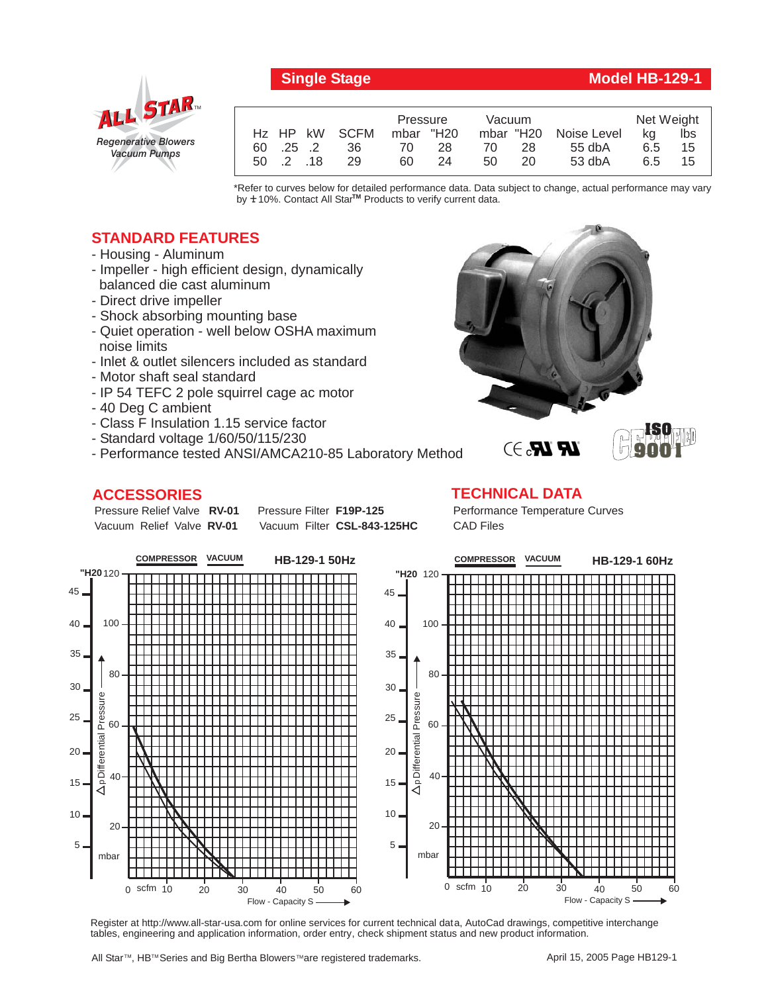



|                   |    | Pressure  |    | Vacuum |    |                       | Net Weight |     |
|-------------------|----|-----------|----|--------|----|-----------------------|------------|-----|
| Hz HP kW SCFM     |    | mbar "H20 |    |        |    | mbar "H20 Noise Level | ka         | lbs |
| 60 .25 .2         | 36 | 70.       | 28 | 70     | 28 | $55$ db $A$           | 6.5        | 15  |
| $50 \t .2 \t .18$ | 29 | 60        | 24 | 50     | 20 | $53$ db $A$           | 6.5        | 15  |

\*Refer to curves below for detailed performance data. Data subject to change, actual performance may vary by  $\pm$  10%. Contact All Star<sup>TM</sup> Products to verify current data.

## **STANDARD FEATURES**

- Housing Aluminum
- Impeller high efficient design, dynamically balanced die cast aluminum
- Direct drive impeller
- Shock absorbing mounting base
- Quiet operation well below OSHA maximum noise limits
- Inlet & outlet silencers included as standard
- Motor shaft seal standard
- IP 54 TEFC 2 pole squirrel cage ac motor
- 40 Deg C ambient
- Class F Insulation 1.15 service factor
- Standard voltage 1/60/50/115/230
- Performance tested ANSI/AMCA210-85 Laboratory Method

## **ACCESSORIES**

Pressure Relief Valve RV-01 Vacuum Relief Valve RV-01

**Pressure Filter F19P-125** Vacuum Filter CSL-843-125HC





Performance Temperature Curves CAD Files



Register at http://www.all-star-usa.com for online services for current technical data, AutoCad drawings, competitive interchange tables, engineering and application information, order entry, check shipment status and new product information.

All Star™, HB™ Series and Big Bertha Blowers™are registered trademarks.